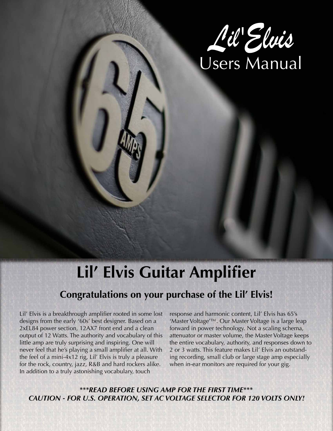

# **Lil' Elvis Guitar Amplifier**

## **Congratulations on your purchase of the Lil' Elvis!**

Lil' Elvis is a breakthrough amplifier rooted in some lost designs from the early '60s' best designer. Based on a 2xEL84 power section, 12AX7 front end and a clean output of 12 Watts. The authority and vocabulary of this little amp are truly surprising and inspiring. One will never feel that he's playing a small amplifier at all. With the feel of a mini-4x12 rig, Lil' Elvis is truly a pleasure for the rock, country, jazz, R&B and hard rockers alike. In addition to a truly astonishing vocabulary, touch

response and harmonic content, Lil' Elvis has 65's 'Master Voltage'™. Our Master Voltage is a large leap forward in power technology. Not a scaling schema, attenuator or master volume, the Master Voltage keeps the entire vocabulary, authority, and responses down to 2 or 3 watts. This feature makes Lil' Elvis an outstanding recording, small club or large stage amp especially when in-ear monitors are required for your gig.

*\*\*\*READ BEFORE USING AMP FOR THE FIRST TIME\*\*\* CAUTION - FOR U.S. OPERATION, SET AC VOLTAGE SELECTOR FOR 120 VOLTS ONLY!*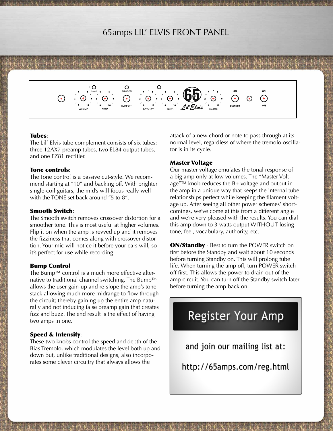### 65amps LIL' ELVIS FRONT PANEL

#### Tubes:

The Lil' Elvis tube complement consists of six tubes: three 12AX7 preamp tubes, two EL84 output tubes, and one EZ81 rectifier.

**UMP OF** 

#### Tone controls:

The Tone control is a passive cut-style. We recommend starting at "10" and backing off. With brighter single-coil guitars, the mid's will focus really well with the TONE set back around "5 to 8".

#### Smooth Switch:

The Smooth switch removes crossover distortion for a smoother tone. This is most useful at higher volumes. Flip it on when the amp is revved up and it removes the fizziness that comes along with crossover distortion. Your mic will notice it before your ears will, so it's perfect for use while recording.

#### Bump Control

The Bump™ control is a much more effective alternative to traditional channel switching. The Bump™ allows the user gain-up and re-slope the amp's tone stack allowing much more midrange to flow through the circuit; thereby gaining up the entire amp naturally and not inducing false preamp gain that creates fizz and buzz. The end result is the effect of having two amps in one.

#### Speed & Intensity:

These two knobs control the speed and depth of the Bias Tremolo, which modulates the level both up and down but, unlike traditional designs, also incorporates some clever circuitry that always allows the

attack of a new chord or note to pass through at its normal level, regardless of where the tremolo oscillator is in its cycle.

#### Master Voltage

Our master voltage emulates the tonal response of a big amp only at low volumes. The "Master Voltage $^{\prime\prime\prime\prime\prime}$  knob reduces the B+ voltage and output in the amp in a unique way that keeps the internal tube relationships perfect while keeping the filament voltage up. After seeing all other power schemes' shortcomings, we've come at this from a different angle and we're very pleased with the results. You can dial this amp down to 3 watts output WITHOUT losing tone, feel, vocabulary, authority, etc.

**ON/Standby** - Best to turn the POWER switch on first before the Standby and wait about 10 seconds before turning Standby on. This will prolong tube life. When turning the amp off, turn POWER switch off first. This allows the power to drain out of the amp circuit. You can turn off the Standby switch later before turning the amp back on.

# **Register Your Amp**

and join our mailing list at:

http://65amps.com/reg.html